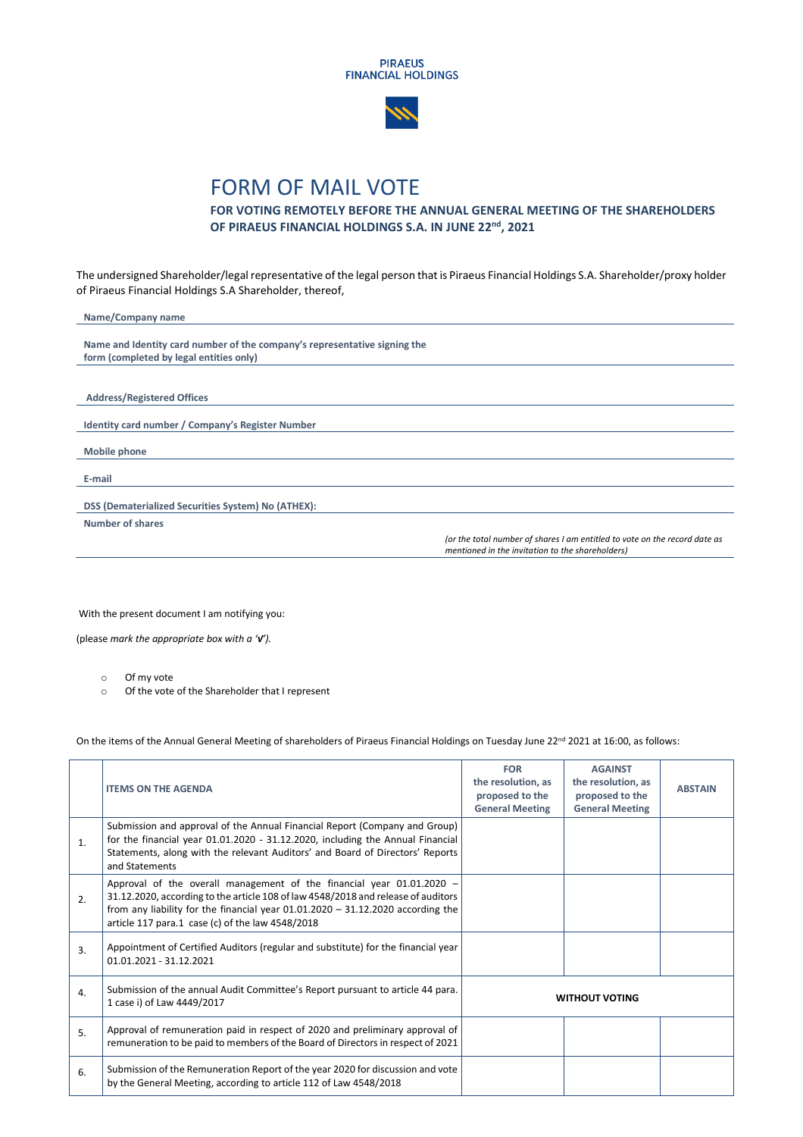



## FORM OF MAIL VOTE

## **FOR VOTING REMOTELY BEFORE THE ANNUAL GENERAL MEETING OF THE SHAREHOLDERS OF PIRAEUS FINANCIAL HOLDINGS S.A. IN JUNE 22 nd, 2021**

The undersigned Shareholder/legal representative of the legal person that is Piraeus Financial Holdings S.A. Shareholder/proxy holder of Piraeus Financial Holdings S.A Shareholder, thereof,

| Name/Company name                                                         |                                                                            |
|---------------------------------------------------------------------------|----------------------------------------------------------------------------|
|                                                                           |                                                                            |
| Name and Identity card number of the company's representative signing the |                                                                            |
| form (completed by legal entities only)                                   |                                                                            |
|                                                                           |                                                                            |
|                                                                           |                                                                            |
| <b>Address/Registered Offices</b>                                         |                                                                            |
|                                                                           |                                                                            |
| Identity card number / Company's Register Number                          |                                                                            |
|                                                                           |                                                                            |
| <b>Mobile phone</b>                                                       |                                                                            |
|                                                                           |                                                                            |
| E-mail                                                                    |                                                                            |
|                                                                           |                                                                            |
| DSS (Dematerialized Securities System) No (ATHEX):                        |                                                                            |
| <b>Number of shares</b>                                                   |                                                                            |
|                                                                           | (or the total number of shares I am entitled to vote on the record date as |
|                                                                           | mentioned in the invitation to the shareholders)                           |

With the present document I am notifying you:

(please *mark the appropriate box with a '√').* 

- o Of my vote
- o Of the vote of the Shareholder that I represent

On the items of the Annual General Meeting of shareholders of Piraeus Financial Holdings on Tuesday June 22<sup>nd</sup> 2021 at 16:00, as follows:

|                  | <b>ITEMS ON THE AGENDA</b>                                                                                                                                                                                                                                                                              | <b>FOR</b><br>the resolution, as<br>proposed to the<br><b>General Meeting</b> | <b>AGAINST</b><br>the resolution, as<br>proposed to the<br><b>General Meeting</b> | <b>ABSTAIN</b> |
|------------------|---------------------------------------------------------------------------------------------------------------------------------------------------------------------------------------------------------------------------------------------------------------------------------------------------------|-------------------------------------------------------------------------------|-----------------------------------------------------------------------------------|----------------|
| $\mathbf{1}$ .   | Submission and approval of the Annual Financial Report (Company and Group)<br>for the financial year 01.01.2020 - 31.12.2020, including the Annual Financial<br>Statements, along with the relevant Auditors' and Board of Directors' Reports<br>and Statements                                         |                                                                               |                                                                                   |                |
| 2.               | Approval of the overall management of the financial year $01.01.2020 -$<br>31.12.2020, according to the article 108 of law 4548/2018 and release of auditors<br>from any liability for the financial year $01.01.2020 - 31.12.2020$ according the<br>article 117 para.1 case (c) of the law $4548/2018$ |                                                                               |                                                                                   |                |
| 3.               | Appointment of Certified Auditors (regular and substitute) for the financial year<br>01.01.2021 - 31.12.2021                                                                                                                                                                                            |                                                                               |                                                                                   |                |
| $\overline{4}$ . | Submission of the annual Audit Committee's Report pursuant to article 44 para.<br>1 case i) of Law 4449/2017                                                                                                                                                                                            | <b>WITHOUT VOTING</b>                                                         |                                                                                   |                |
| 5.               | Approval of remuneration paid in respect of 2020 and preliminary approval of<br>remuneration to be paid to members of the Board of Directors in respect of 2021                                                                                                                                         |                                                                               |                                                                                   |                |
| 6.               | Submission of the Remuneration Report of the year 2020 for discussion and vote<br>by the General Meeting, according to article 112 of Law 4548/2018                                                                                                                                                     |                                                                               |                                                                                   |                |